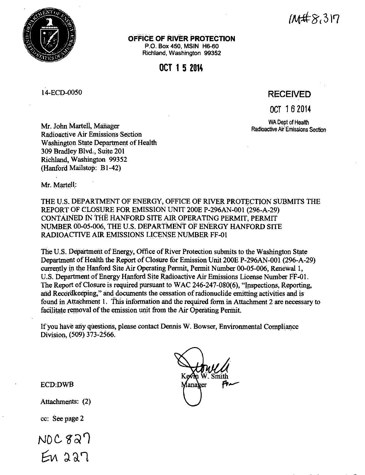

# /~'8,317

**OFFICE OF RIVER PROTECTION** 

P.O. Box 450, MSIN H6-60 Richland, Washington 99352

### **OCT 1 5 2014**

14-ECD-0050

## **RECEIVED**

OCT 1 6 **2014** 

WA Dept of Health Radioactive Air· Emissions Section

Mr. John Marteli, Manager Radioactive Air Emissions Section Washington State Department of Health 309 Bradley Blvd., Suite 201 Richland, Washington 99352 (Hanford Mailstop: Bl-42)

Mr. Martell:

THE U.S. DEPARTMENT OF ENERGY, OFFICE OF RIVER PROTECTION SUBMITS THE REPORT OF CLOSURE FOR EMISSION UNIT 200E P-296AN-001 (296-A-29) CONTAINED iN TIIE HANFORD SITE AIR OPERATING PERMIT, PERMIT NUMBER 00-05-006, THE U.S. DEPARTMENT OF ENERGY HANFORD SITE RADIOACTIVE AIR EMISSIONS LICENSE NUMBER FF-01

The U.S. Department of Energy, Office of River Protection submits to the Washington State Department of Health the Report of Closure for Emission Unit 200E P-296AN-OOI (296-A-29) currently in the Hanford Site Air Operating Permit, Permit Number 00-05-006, Renewal 1, U.S. Department of Energy Hanford Site Radioactive Air Emissions License Number FF-01. The Report of Closure is required pursuant to WAC 246-247-080(6), "Inspections, Reporting, and Record keeping," and documents the cessation of radionuclide emitting activities and is found in Attachment 1. This information and the required form in Attachment 2 are necessary to facilitate removal of the emission unit from the Air Operating Permit.

If you have any questions, please contact Dennis W. Bowser, Environmental Compliance Division, (509) 373-2566.



ECD:DWB

Attachments: (2)

cc: See page 2

 $NDC827$  $En 227$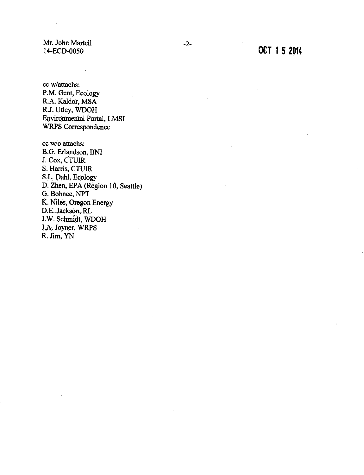Mr. John Martell 14-ECD-0050

cc w/attachs: P.M. Gent, Ecology R.A. Kaldor, MSA R.J. Utley, WDOH Environmental Portal, LMSI WRPS Correspondence

cc w/o attachs: B.G. Erlandson, BNI J. Cox, CTIJIR S. Harris, CTUIR S.L. Dahl, Ecology D. Zhen, EPA (Region 10, Seattle) G. Bohnee, NPT K. Niles, Oregon Energy D.E. Jackson, RL J.W. Schmidt, WDOH J.A. Joyner, WRPS R. Jim, YN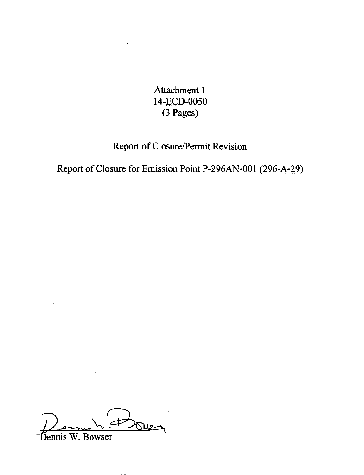Attachment 1 14-ECD-0050  $(3$  Pages)

# Report of Closure/Permit Revision

Report of Closure for Emission Point P-296AN-001 (296-A-29)

Sennis W. Bowser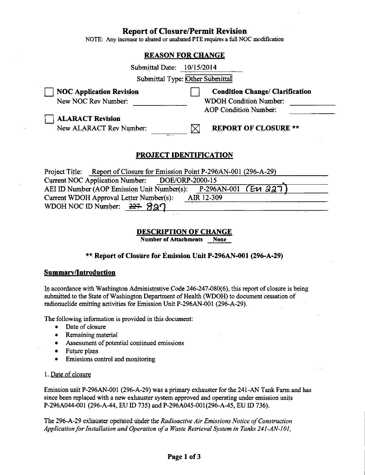#### **Report of Closure/Permit Revision**

NOTE: Any increase to abated or unabated PIE requires a full NOC modification

## **REASON FOR CHANGE**  Submittal Date: 10/15/2014 Submittal Type: Other Submittal **NOC Application Revision** New NOC Rev Number: 0 **Condition Change/ Clarification**  WDOH Condition Number: AOP Condition Number: 0 **ALARACT Revision**  New ALARACT Rev Number:  $\boxtimes$  **REPORT OF CLOSURE \*\* PROJECT IDENTIFICATION**  Current NOC Application Number: DOE/ORP-2000-15

Project Title: Report of Closure for Emission Point P-296AN-001 (296-A-29)<br>Current NOC Application Number: DOE/ORP-2000-15<br>AEI ID Number (AOP Emission Unit Number(s): P-296AN-001 (E11 227) 4EI ID Number (AOP Emission Unit Number(s): P-296AN-001 (EV 227)<br>Current WDOH Approval Letter Number(s): AIR 12-309<br>WDOH NOC ID Number: 227- 827

#### **DESCRIPTION OF CHANGE**

**Number of Attachments None** 

#### \*\* **Report of Closure for Emission Unit P-296AN-001 (296,-A-29)**

#### **Summary/Introduction**

In accordance with Washington Administrative Code 246-247-080(6), this report of closure is being submitted to the State of Washington Department of Health (WDOH) to document cessation of radionuclide emitting activities for Emission Unit P-296AN-001 (296-A-29).

The following information is provided in this document:

- Date of closure
- Remaining material
- Assessment of potential continued emissions
- Future plans
- Emissions control and monitoring

#### I. Date of closure

Emission unit P-296AN-001 (296-A-29) was a primary exhauster for the 241-AN Tank Farm.and has since been replaced with a new exhauster system approved and operating under emission units P-296A044-001 (296-A-44,.EU ID 735) and P-296A045-001(296-A-45, EU ID 736).

The 296-A-29 exhauster operated under the *Radioactive Air Emissions Notice of Construction Applicationfor1nstallation and Operation ofa Waste Retrieval System in Tanks* 241-AN-JOJ,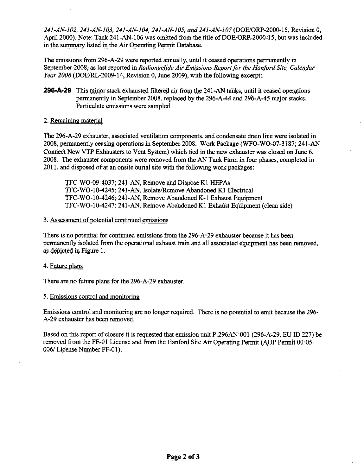*241-AN-102, 241-AN-103, 241-AN-104, 241-AN-105, and 241-AN-107* (DOE/ORP-2000-15, Revision 0, April 2000). Note: Tank 241-AN-106 was omitted from the title of DOE/ORP-2000-15, but was included in the summary listed in the Air Operating Permit Database.

The emissions from 296-A-29 were reported annually, until it ceased operations permanently in September 2008, as last reported in *Radionuclide Air Emissions Report for the Hanford Site, Calendar Year 2008* (DOE/RL-2009-14, Revision 0, June.2009), with the following excerpt:

**296-A-29** This minor stack exhausted filtered air from the 241-AN tanks, until it ceased operations permanently in September 2008, replaced by the 296-A-44 and 296-A-45 major stacks. Particulate emissions were sampled.

#### 2. Remaining material

The 296-A-29 exhauster, associated ventilation components, and condensate drain line were isolated in 2008, permanently ceasing operations in September 2008. Work Package (WFO-W0-07-3187; 241-AN Connect New VTP Exhausters to Vent System) which tied in the new exhauster was closed on June 6, 2008. The exhauster components were removed from the AN Tank Farm in four phases, completed in 2011, and disposed of at an onsite burial site with the following work packages:

TFC-WO-09-4037; 241-AN, Remove and DisposeKI HEPAs TFC-WO-10-4245; 241-AN, Isolate/Remove Abandoned Kl Electrical TFC-WO-10-4246; 241-AN, Remove Abandoned K-1 Exhaust Equipment TFC-WO-10-4247; 241-AN, Remove Abandoned Kl Exhaust Equipment ( clean side)

#### 3. Assessment of potential continued emissions

There is no potential for continued emissions from the 296-A=29 exhauster because it has been permanently isolated from the operational exhaust train and all associated equipment has been removed, as depicted in Figure I.

#### 4. Future plans

There are no future plans for the 296-A-29 exhauster.

#### 5. Emissions control and monitoring

Emissions control and monitoring are no longer required. There is no potential to emit because the 296- A-29 exhauster has been removed.

Based on this report of closure it is requested that emission unit P-296AN-001 (296-A-29, EU ID 227) be removed from the FF-01 License and from the Hanford Site Air Operating Permit (AOP Permit 00-05-006/ License Number FF-01).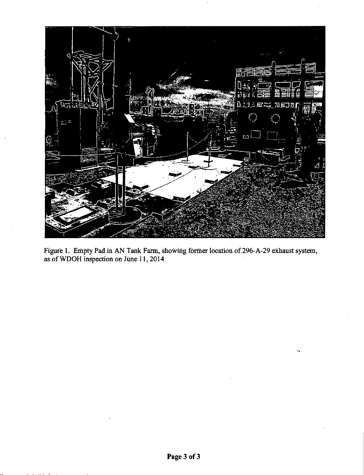

Figure 1. Empty Pad in AN Tank Farm, showing former location of 296-A-29 exhaust system, as ofWDOH inspection on June ll, 2014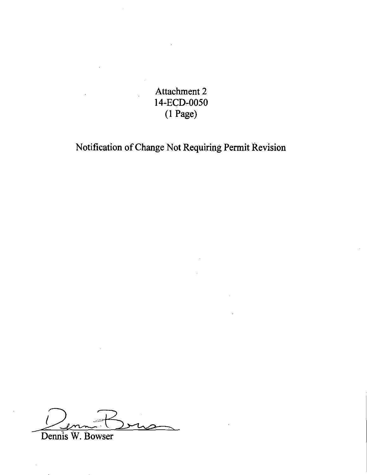Attachment 2 14~ECD-0050 (1 Page)

Notification of Change Not Requiring Permit Revision

Dennis W Rowser Dennis W. Bowser